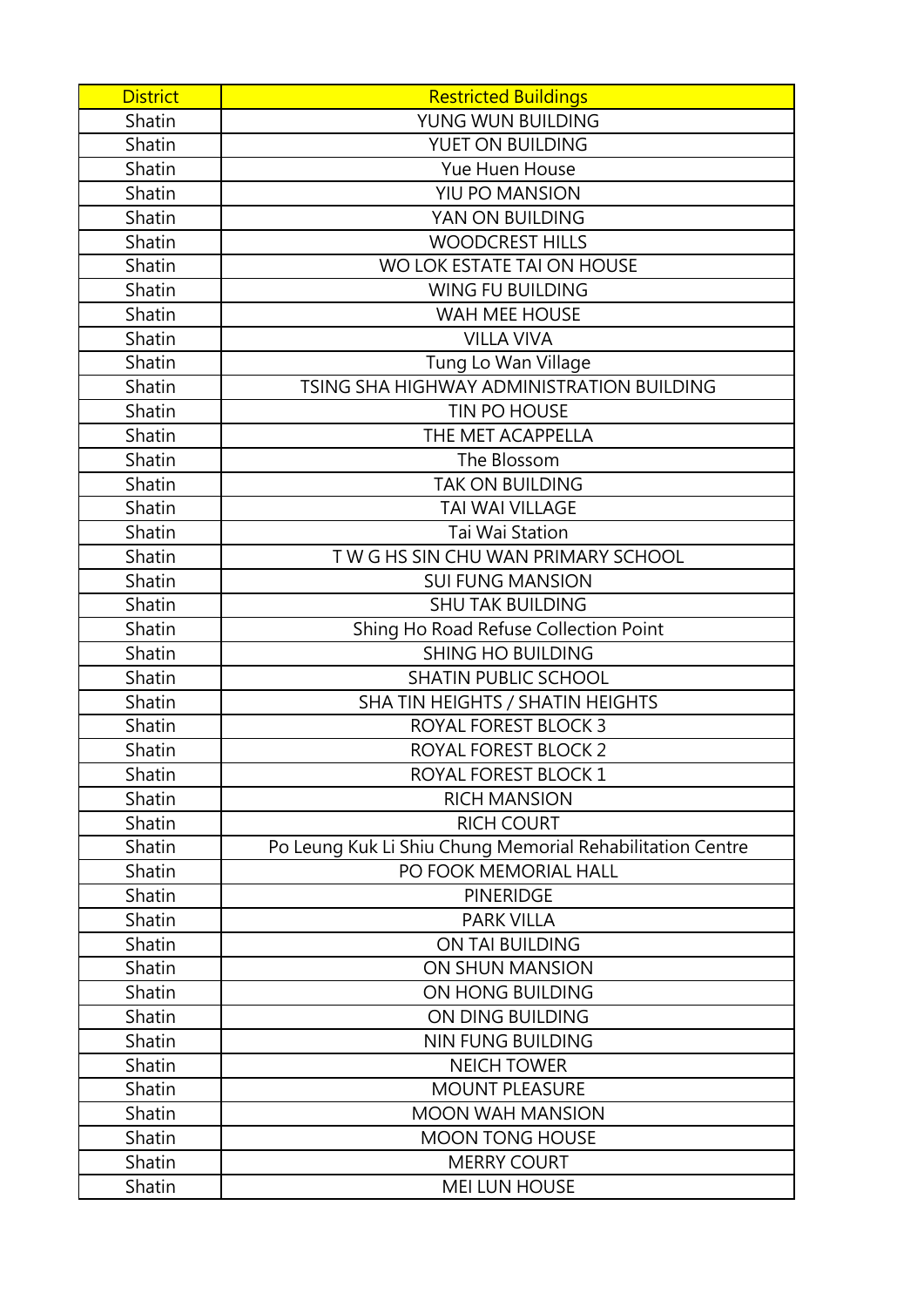| <b>District</b> | <b>Restricted Buildings</b>                               |
|-----------------|-----------------------------------------------------------|
| Shatin          | YUNG WUN BUILDING                                         |
| Shatin          | YUET ON BUILDING                                          |
| Shatin          | Yue Huen House                                            |
| Shatin          | YIU PO MANSION                                            |
| Shatin          | YAN ON BUILDING                                           |
| Shatin          | <b>WOODCREST HILLS</b>                                    |
| Shatin          | WO LOK ESTATE TAI ON HOUSE                                |
| Shatin          | <b>WING FU BUILDING</b>                                   |
| Shatin          | <b>WAH MEE HOUSE</b>                                      |
| Shatin          | <b>VILLA VIVA</b>                                         |
| Shatin          | Tung Lo Wan Village                                       |
| Shatin          | TSING SHA HIGHWAY ADMINISTRATION BUILDING                 |
| Shatin          | TIN PO HOUSE                                              |
| Shatin          | THE MET ACAPPELLA                                         |
| Shatin          | The Blossom                                               |
| Shatin          | <b>TAK ON BUILDING</b>                                    |
| Shatin          | <b>TAI WAI VILLAGE</b>                                    |
| Shatin          | Tai Wai Station                                           |
| Shatin          | TWG HS SIN CHU WAN PRIMARY SCHOOL                         |
| Shatin          | <b>SUI FUNG MANSION</b>                                   |
| Shatin          | <b>SHU TAK BUILDING</b>                                   |
| Shatin          | Shing Ho Road Refuse Collection Point                     |
| Shatin          | <b>SHING HO BUILDING</b>                                  |
| Shatin          | <b>SHATIN PUBLIC SCHOOL</b>                               |
| Shatin          | SHA TIN HEIGHTS / SHATIN HEIGHTS                          |
| Shatin          | <b>ROYAL FOREST BLOCK 3</b>                               |
| Shatin          | ROYAL FOREST BLOCK 2                                      |
| Shatin          | <b>ROYAL FOREST BLOCK 1</b>                               |
| Shatin          | <b>RICH MANSION</b>                                       |
| Shatin          | <b>RICH COURT</b>                                         |
| Shatin          | Po Leung Kuk Li Shiu Chung Memorial Rehabilitation Centre |
| Shatin          | PO FOOK MEMORIAL HALL                                     |
| Shatin          | <b>PINERIDGE</b>                                          |
| Shatin          | <b>PARK VILLA</b>                                         |
| Shatin          | ON TAI BUILDING                                           |
| Shatin          | ON SHUN MANSION                                           |
| Shatin          | ON HONG BUILDING                                          |
| Shatin          | ON DING BUILDING                                          |
| Shatin          | <b>NIN FUNG BUILDING</b>                                  |
| Shatin          | <b>NEICH TOWER</b>                                        |
| Shatin          | <b>MOUNT PLEASURE</b>                                     |
| Shatin          | <b>MOON WAH MANSION</b>                                   |
| Shatin          | <b>MOON TONG HOUSE</b>                                    |
| Shatin          | <b>MERRY COURT</b>                                        |
| Shatin          | <b>MEI LUN HOUSE</b>                                      |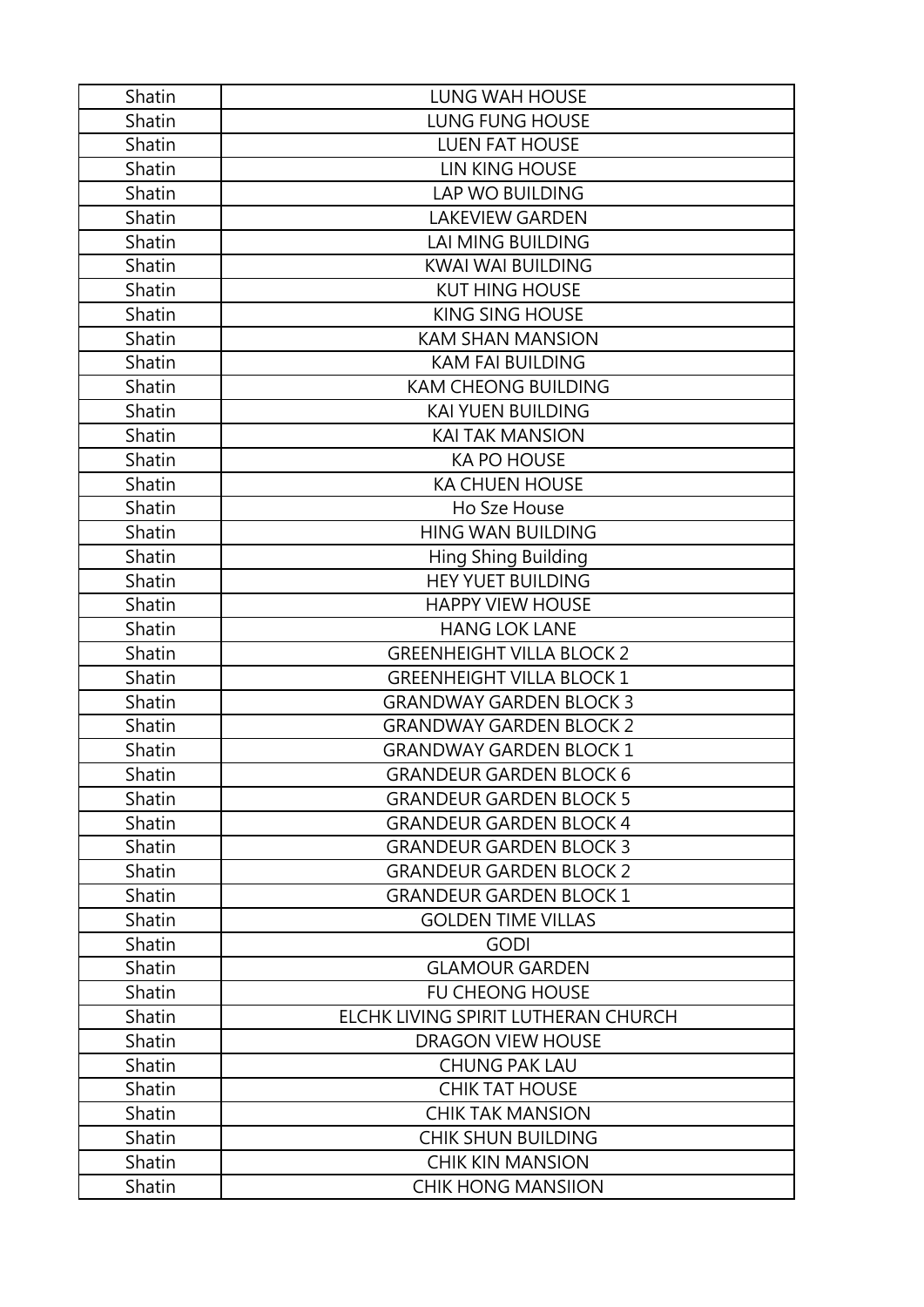| Shatin | <b>LUNG WAH HOUSE</b>               |
|--------|-------------------------------------|
| Shatin | <b>LUNG FUNG HOUSE</b>              |
| Shatin | <b>LUEN FAT HOUSE</b>               |
| Shatin | LIN KING HOUSE                      |
| Shatin | <b>LAP WO BUILDING</b>              |
| Shatin | <b>LAKEVIEW GARDEN</b>              |
| Shatin | <b>LAI MING BUILDING</b>            |
| Shatin | <b>KWAI WAI BUILDING</b>            |
| Shatin | <b>KUT HING HOUSE</b>               |
| Shatin | <b>KING SING HOUSE</b>              |
| Shatin | <b>KAM SHAN MANSION</b>             |
| Shatin | <b>KAM FAI BUILDING</b>             |
| Shatin | <b>KAM CHEONG BUILDING</b>          |
| Shatin | <b>KAI YUEN BUILDING</b>            |
| Shatin | <b>KAI TAK MANSION</b>              |
| Shatin | <b>KA PO HOUSE</b>                  |
| Shatin | <b>KA CHUEN HOUSE</b>               |
| Shatin | Ho Sze House                        |
| Shatin | <b>HING WAN BUILDING</b>            |
| Shatin | Hing Shing Building                 |
| Shatin | <b>HEY YUET BUILDING</b>            |
| Shatin | <b>HAPPY VIEW HOUSE</b>             |
| Shatin | <b>HANG LOK LANE</b>                |
| Shatin | <b>GREENHEIGHT VILLA BLOCK 2</b>    |
| Shatin | <b>GREENHEIGHT VILLA BLOCK 1</b>    |
| Shatin | <b>GRANDWAY GARDEN BLOCK 3</b>      |
| Shatin | <b>GRANDWAY GARDEN BLOCK 2</b>      |
| Shatin | <b>GRANDWAY GARDEN BLOCK 1</b>      |
| Shatin | <b>GRANDEUR GARDEN BLOCK 6</b>      |
| Shatin | <b>GRANDEUR GARDEN BLOCK 5</b>      |
| Shatin | <b>GRANDEUR GARDEN BLOCK 4</b>      |
| Shatin | <b>GRANDEUR GARDEN BLOCK 3</b>      |
| Shatin | <b>GRANDEUR GARDEN BLOCK 2</b>      |
| Shatin | <b>GRANDEUR GARDEN BLOCK 1</b>      |
| Shatin | <b>GOLDEN TIME VILLAS</b>           |
| Shatin | <b>GODI</b>                         |
| Shatin | <b>GLAMOUR GARDEN</b>               |
| Shatin | <b>FU CHEONG HOUSE</b>              |
| Shatin | ELCHK LIVING SPIRIT LUTHERAN CHURCH |
| Shatin | <b>DRAGON VIEW HOUSE</b>            |
| Shatin | <b>CHUNG PAK LAU</b>                |
| Shatin | <b>CHIK TAT HOUSE</b>               |
| Shatin | <b>CHIK TAK MANSION</b>             |
| Shatin | <b>CHIK SHUN BUILDING</b>           |
| Shatin | <b>CHIK KIN MANSION</b>             |
| Shatin | <b>CHIK HONG MANSIION</b>           |